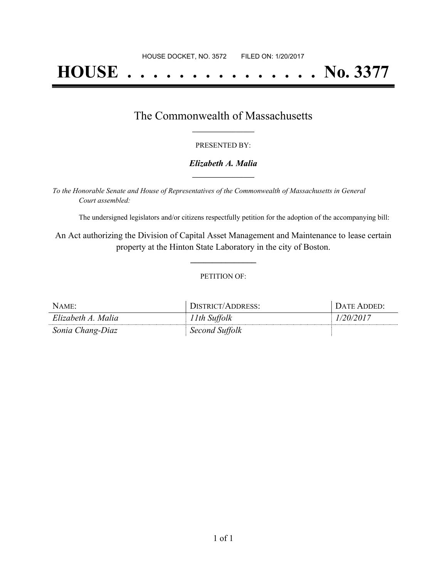# **HOUSE . . . . . . . . . . . . . . . No. 3377**

### The Commonwealth of Massachusetts **\_\_\_\_\_\_\_\_\_\_\_\_\_\_\_\_\_**

#### PRESENTED BY:

#### *Elizabeth A. Malia* **\_\_\_\_\_\_\_\_\_\_\_\_\_\_\_\_\_**

*To the Honorable Senate and House of Representatives of the Commonwealth of Massachusetts in General Court assembled:*

The undersigned legislators and/or citizens respectfully petition for the adoption of the accompanying bill:

An Act authorizing the Division of Capital Asset Management and Maintenance to lease certain property at the Hinton State Laboratory in the city of Boston.

**\_\_\_\_\_\_\_\_\_\_\_\_\_\_\_**

#### PETITION OF:

| NAME:              | DISTRICT/ADDRESS: | DATE ADDED: |
|--------------------|-------------------|-------------|
| Elizabeth A. Malia | 11th Suffolk      | 1/20/2017   |
| Sonia Chang-Diaz   | Second Suffolk    |             |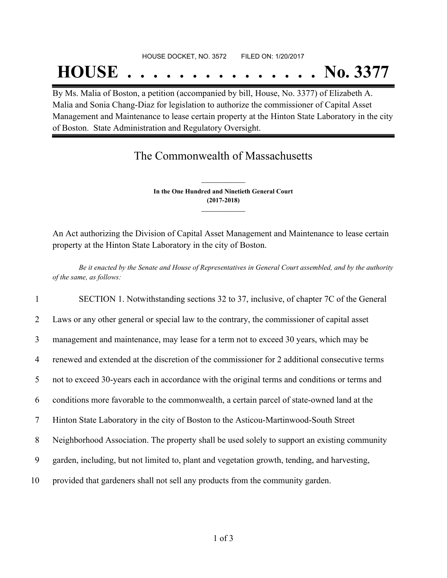## **HOUSE . . . . . . . . . . . . . . . No. 3377**

By Ms. Malia of Boston, a petition (accompanied by bill, House, No. 3377) of Elizabeth A. Malia and Sonia Chang-Diaz for legislation to authorize the commissioner of Capital Asset Management and Maintenance to lease certain property at the Hinton State Laboratory in the city of Boston. State Administration and Regulatory Oversight.

## The Commonwealth of Massachusetts

**In the One Hundred and Ninetieth General Court (2017-2018) \_\_\_\_\_\_\_\_\_\_\_\_\_\_\_**

**\_\_\_\_\_\_\_\_\_\_\_\_\_\_\_**

An Act authorizing the Division of Capital Asset Management and Maintenance to lease certain property at the Hinton State Laboratory in the city of Boston.

Be it enacted by the Senate and House of Representatives in General Court assembled, and by the authority *of the same, as follows:*

 SECTION 1. Notwithstanding sections 32 to 37, inclusive, of chapter 7C of the General Laws or any other general or special law to the contrary, the commissioner of capital asset management and maintenance, may lease for a term not to exceed 30 years, which may be renewed and extended at the discretion of the commissioner for 2 additional consecutive terms not to exceed 30-years each in accordance with the original terms and conditions or terms and conditions more favorable to the commonwealth, a certain parcel of state-owned land at the Hinton State Laboratory in the city of Boston to the Asticou-Martinwood-South Street Neighborhood Association. The property shall be used solely to support an existing community garden, including, but not limited to, plant and vegetation growth, tending, and harvesting, provided that gardeners shall not sell any products from the community garden.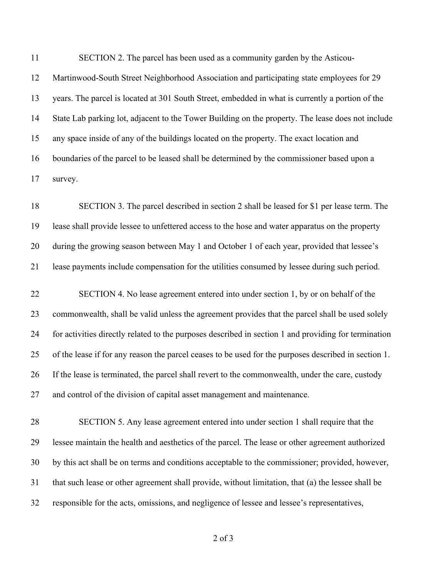SECTION 2. The parcel has been used as a community garden by the Asticou- Martinwood-South Street Neighborhood Association and participating state employees for 29 years. The parcel is located at 301 South Street, embedded in what is currently a portion of the State Lab parking lot, adjacent to the Tower Building on the property. The lease does not include any space inside of any of the buildings located on the property. The exact location and boundaries of the parcel to be leased shall be determined by the commissioner based upon a survey.

 SECTION 3. The parcel described in section 2 shall be leased for \$1 per lease term. The lease shall provide lessee to unfettered access to the hose and water apparatus on the property during the growing season between May 1 and October 1 of each year, provided that lessee's lease payments include compensation for the utilities consumed by lessee during such period.

 SECTION 4. No lease agreement entered into under section 1, by or on behalf of the commonwealth, shall be valid unless the agreement provides that the parcel shall be used solely for activities directly related to the purposes described in section 1 and providing for termination of the lease if for any reason the parcel ceases to be used for the purposes described in section 1. If the lease is terminated, the parcel shall revert to the commonwealth, under the care, custody and control of the division of capital asset management and maintenance.

 SECTION 5. Any lease agreement entered into under section 1 shall require that the lessee maintain the health and aesthetics of the parcel. The lease or other agreement authorized by this act shall be on terms and conditions acceptable to the commissioner; provided, however, that such lease or other agreement shall provide, without limitation, that (a) the lessee shall be responsible for the acts, omissions, and negligence of lessee and lessee's representatives,

of 3